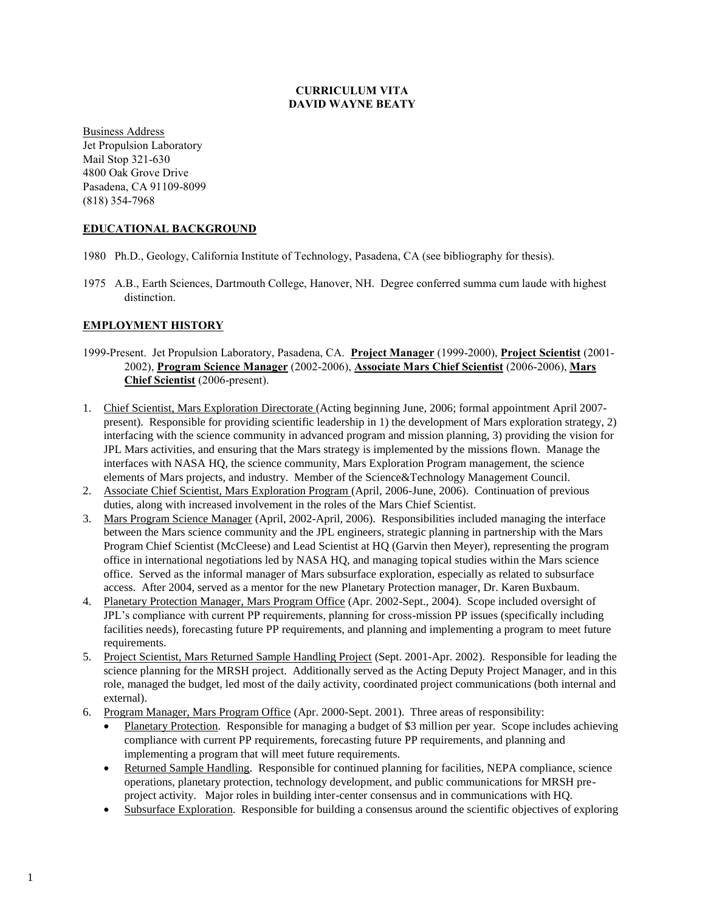# **CURRICULUM VITA DAVID WAYNE BEATY**

Business Address Jet Propulsion Laboratory Mail Stop 321-630 4800 Oak Grove Drive Pasadena, CA 91109-8099 (818) 354-7968

# **EDUCATIONAL BACKGROUND**

- 1980 Ph.D., Geology, California Institute of Technology, Pasadena, CA (see bibliography for thesis).
- 1975 A.B., Earth Sciences, Dartmouth College, Hanover, NH. Degree conferred summa cum laude with highest distinction.

# **EMPLOYMENT HISTORY**

- 1999-Present. Jet Propulsion Laboratory, Pasadena, CA. **Project Manager** (1999-2000), **Project Scientist** (2001- 2002), **Program Science Manager** (2002-2006), **Associate Mars Chief Scientist** (2006-2006), **Mars Chief Scientist** (2006-present).
- 1. Chief Scientist, Mars Exploration Directorate (Acting beginning June, 2006; formal appointment April 2007 present). Responsible for providing scientific leadership in 1) the development of Mars exploration strategy, 2) interfacing with the science community in advanced program and mission planning, 3) providing the vision for JPL Mars activities, and ensuring that the Mars strategy is implemented by the missions flown. Manage the interfaces with NASA HQ, the science community, Mars Exploration Program management, the science elements of Mars projects, and industry. Member of the Science&Technology Management Council.
- 2. Associate Chief Scientist, Mars Exploration Program (April, 2006-June, 2006). Continuation of previous duties, along with increased involvement in the roles of the Mars Chief Scientist.
- 3. Mars Program Science Manager (April, 2002-April, 2006). Responsibilities included managing the interface between the Mars science community and the JPL engineers, strategic planning in partnership with the Mars Program Chief Scientist (McCleese) and Lead Scientist at HQ (Garvin then Meyer), representing the program office in international negotiations led by NASA HQ, and managing topical studies within the Mars science office. Served as the informal manager of Mars subsurface exploration, especially as related to subsurface access. After 2004, served as a mentor for the new Planetary Protection manager, Dr. Karen Buxbaum.
- 4. Planetary Protection Manager, Mars Program Office (Apr. 2002-Sept., 2004). Scope included oversight of JPL's compliance with current PP requirements, planning for cross-mission PP issues (specifically including facilities needs), forecasting future PP requirements, and planning and implementing a program to meet future requirements.
- 5. Project Scientist, Mars Returned Sample Handling Project (Sept. 2001-Apr. 2002). Responsible for leading the science planning for the MRSH project. Additionally served as the Acting Deputy Project Manager, and in this role, managed the budget, led most of the daily activity, coordinated project communications (both internal and external).
- 6. Program Manager, Mars Program Office (Apr. 2000-Sept. 2001). Three areas of responsibility:
	- Planetary Protection. Responsible for managing a budget of \$3 million per year. Scope includes achieving compliance with current PP requirements, forecasting future PP requirements, and planning and implementing a program that will meet future requirements.
	- Returned Sample Handling. Responsible for continued planning for facilities, NEPA compliance, science operations, planetary protection, technology development, and public communications for MRSH preproject activity. Major roles in building inter-center consensus and in communications with HQ.
	- Subsurface Exploration. Responsible for building a consensus around the scientific objectives of exploring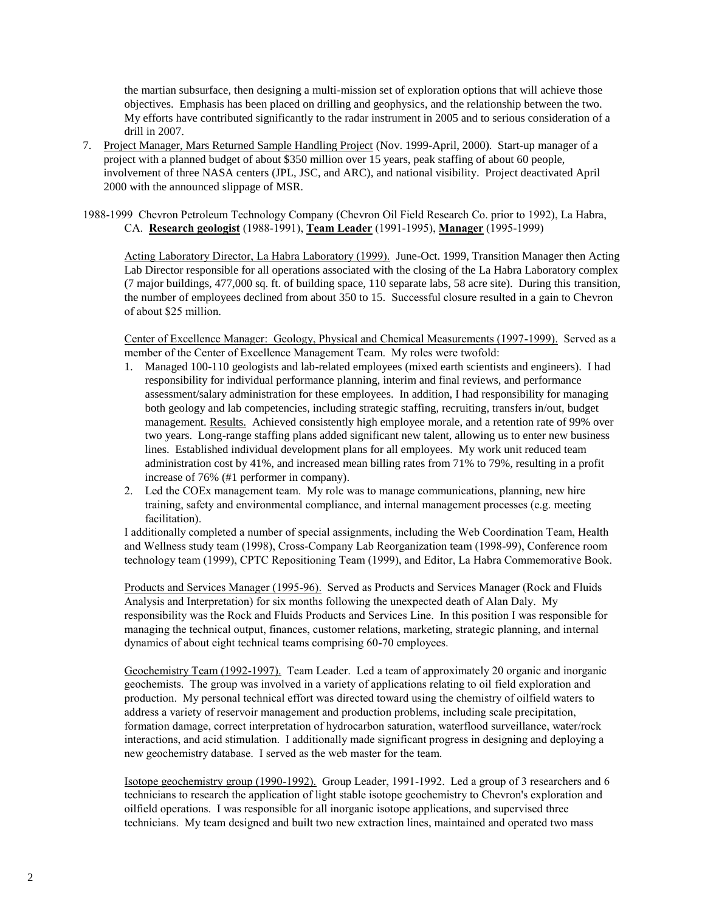the martian subsurface, then designing a multi-mission set of exploration options that will achieve those objectives. Emphasis has been placed on drilling and geophysics, and the relationship between the two. My efforts have contributed significantly to the radar instrument in 2005 and to serious consideration of a drill in 2007.

- 7. Project Manager, Mars Returned Sample Handling Project (Nov. 1999-April, 2000). Start-up manager of a project with a planned budget of about \$350 million over 15 years, peak staffing of about 60 people, involvement of three NASA centers (JPL, JSC, and ARC), and national visibility. Project deactivated April 2000 with the announced slippage of MSR.
- 1988-1999 Chevron Petroleum Technology Company (Chevron Oil Field Research Co. prior to 1992), La Habra, CA. **Research geologist** (1988-1991), **Team Leader** (1991-1995), **Manager** (1995-1999)

Acting Laboratory Director, La Habra Laboratory (1999). June-Oct. 1999, Transition Manager then Acting Lab Director responsible for all operations associated with the closing of the La Habra Laboratory complex (7 major buildings, 477,000 sq. ft. of building space, 110 separate labs, 58 acre site). During this transition, the number of employees declined from about 350 to 15. Successful closure resulted in a gain to Chevron of about \$25 million.

Center of Excellence Manager: Geology, Physical and Chemical Measurements (1997-1999). Served as a member of the Center of Excellence Management Team. My roles were twofold:

- 1. Managed 100-110 geologists and lab-related employees (mixed earth scientists and engineers). I had responsibility for individual performance planning, interim and final reviews, and performance assessment/salary administration for these employees. In addition, I had responsibility for managing both geology and lab competencies, including strategic staffing, recruiting, transfers in/out, budget management. Results. Achieved consistently high employee morale, and a retention rate of 99% over two years. Long-range staffing plans added significant new talent, allowing us to enter new business lines. Established individual development plans for all employees. My work unit reduced team administration cost by 41%, and increased mean billing rates from 71% to 79%, resulting in a profit increase of 76% (#1 performer in company).
- 2. Led the COEx management team. My role was to manage communications, planning, new hire training, safety and environmental compliance, and internal management processes (e.g. meeting facilitation).

I additionally completed a number of special assignments, including the Web Coordination Team, Health and Wellness study team (1998), Cross-Company Lab Reorganization team (1998-99), Conference room technology team (1999), CPTC Repositioning Team (1999), and Editor, La Habra Commemorative Book.

Products and Services Manager (1995-96). Served as Products and Services Manager (Rock and Fluids Analysis and Interpretation) for six months following the unexpected death of Alan Daly. My responsibility was the Rock and Fluids Products and Services Line. In this position I was responsible for managing the technical output, finances, customer relations, marketing, strategic planning, and internal dynamics of about eight technical teams comprising 60-70 employees.

Geochemistry Team (1992-1997). Team Leader. Led a team of approximately 20 organic and inorganic geochemists. The group was involved in a variety of applications relating to oil field exploration and production. My personal technical effort was directed toward using the chemistry of oilfield waters to address a variety of reservoir management and production problems, including scale precipitation, formation damage, correct interpretation of hydrocarbon saturation, waterflood surveillance, water/rock interactions, and acid stimulation. I additionally made significant progress in designing and deploying a new geochemistry database. I served as the web master for the team.

Isotope geochemistry group (1990-1992). Group Leader, 1991-1992. Led a group of 3 researchers and 6 technicians to research the application of light stable isotope geochemistry to Chevron's exploration and oilfield operations. I was responsible for all inorganic isotope applications, and supervised three technicians. My team designed and built two new extraction lines, maintained and operated two mass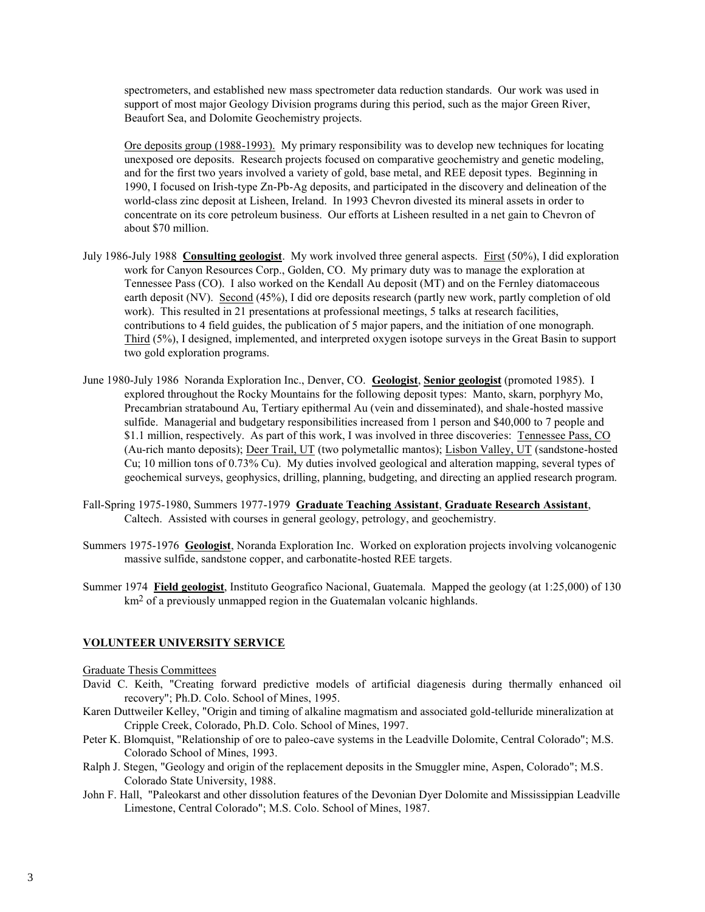spectrometers, and established new mass spectrometer data reduction standards. Our work was used in support of most major Geology Division programs during this period, such as the major Green River, Beaufort Sea, and Dolomite Geochemistry projects.

Ore deposits group (1988-1993). My primary responsibility was to develop new techniques for locating unexposed ore deposits. Research projects focused on comparative geochemistry and genetic modeling, and for the first two years involved a variety of gold, base metal, and REE deposit types. Beginning in 1990, I focused on Irish-type Zn-Pb-Ag deposits, and participated in the discovery and delineation of the world-class zinc deposit at Lisheen, Ireland. In 1993 Chevron divested its mineral assets in order to concentrate on its core petroleum business. Our efforts at Lisheen resulted in a net gain to Chevron of about \$70 million.

- July 1986-July 1988 **Consulting geologist**. My work involved three general aspects. First (50%), I did exploration work for Canyon Resources Corp., Golden, CO. My primary duty was to manage the exploration at Tennessee Pass (CO). I also worked on the Kendall Au deposit (MT) and on the Fernley diatomaceous earth deposit (NV). Second (45%), I did ore deposits research (partly new work, partly completion of old work). This resulted in 21 presentations at professional meetings, 5 talks at research facilities, contributions to 4 field guides, the publication of 5 major papers, and the initiation of one monograph. Third (5%), I designed, implemented, and interpreted oxygen isotope surveys in the Great Basin to support two gold exploration programs.
- June 1980-July 1986 Noranda Exploration Inc., Denver, CO. **Geologist**, **Senior geologist** (promoted 1985). I explored throughout the Rocky Mountains for the following deposit types: Manto, skarn, porphyry Mo, Precambrian stratabound Au, Tertiary epithermal Au (vein and disseminated), and shale-hosted massive sulfide. Managerial and budgetary responsibilities increased from 1 person and \$40,000 to 7 people and \$1.1 million, respectively. As part of this work, I was involved in three discoveries: Tennessee Pass, CO (Au-rich manto deposits); Deer Trail, UT (two polymetallic mantos); Lisbon Valley, UT (sandstone-hosted Cu; 10 million tons of 0.73% Cu). My duties involved geological and alteration mapping, several types of geochemical surveys, geophysics, drilling, planning, budgeting, and directing an applied research program.
- Fall-Spring 1975-1980, Summers 1977-1979 **Graduate Teaching Assistant**, **Graduate Research Assistant**, Caltech. Assisted with courses in general geology, petrology, and geochemistry.
- Summers 1975-1976 **Geologist**, Noranda Exploration Inc. Worked on exploration projects involving volcanogenic massive sulfide, sandstone copper, and carbonatite-hosted REE targets.
- Summer 1974 **Field geologist**, Instituto Geografico Nacional, Guatemala. Mapped the geology (at 1:25,000) of 130 km<sup>2</sup> of a previously unmapped region in the Guatemalan volcanic highlands.

# **VOLUNTEER UNIVERSITY SERVICE**

### Graduate Thesis Committees

- David C. Keith, "Creating forward predictive models of artificial diagenesis during thermally enhanced oil recovery"; Ph.D. Colo. School of Mines, 1995.
- Karen Duttweiler Kelley, "Origin and timing of alkaline magmatism and associated gold-telluride mineralization at Cripple Creek, Colorado, Ph.D. Colo. School of Mines, 1997.
- Peter K. Blomquist, "Relationship of ore to paleo-cave systems in the Leadville Dolomite, Central Colorado"; M.S. Colorado School of Mines, 1993.
- Ralph J. Stegen, "Geology and origin of the replacement deposits in the Smuggler mine, Aspen, Colorado"; M.S. Colorado State University, 1988.
- John F. Hall, "Paleokarst and other dissolution features of the Devonian Dyer Dolomite and Mississippian Leadville Limestone, Central Colorado"; M.S. Colo. School of Mines, 1987.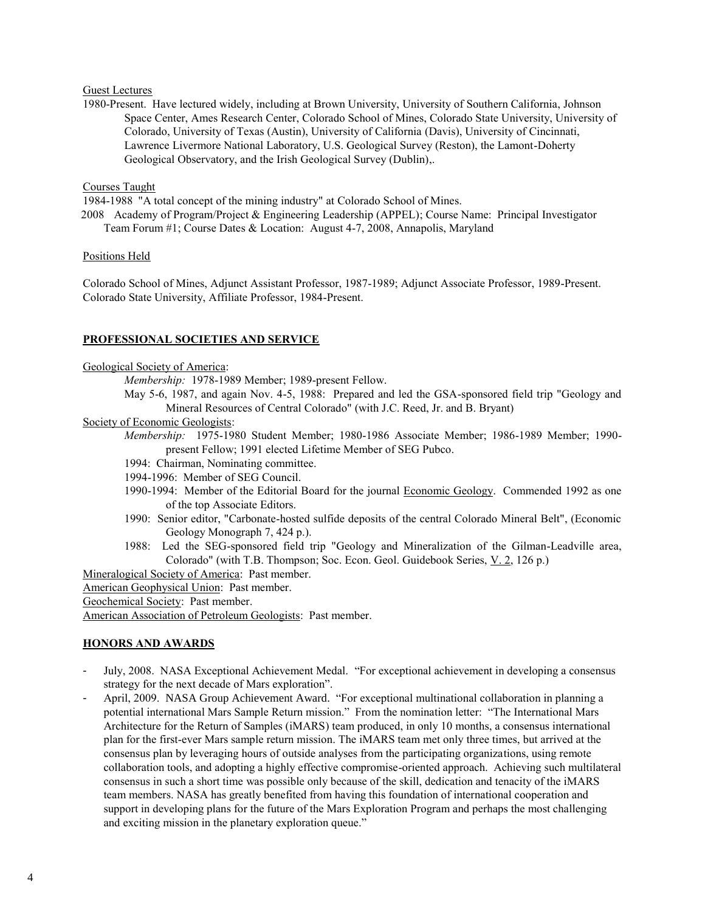### Guest Lectures

1980-Present. Have lectured widely, including at Brown University, University of Southern California, Johnson Space Center, Ames Research Center, Colorado School of Mines, Colorado State University, University of Colorado, University of Texas (Austin), University of California (Davis), University of Cincinnati, Lawrence Livermore National Laboratory, U.S. Geological Survey (Reston), the Lamont-Doherty Geological Observatory, and the Irish Geological Survey (Dublin),.

### Courses Taught

1984-1988 "A total concept of the mining industry" at Colorado School of Mines.

2008 Academy of Program/Project & Engineering Leadership (APPEL); Course Name: Principal Investigator Team Forum #1; Course Dates & Location: August 4-7, 2008, Annapolis, Maryland

### Positions Held

Colorado School of Mines, Adjunct Assistant Professor, 1987-1989; Adjunct Associate Professor, 1989-Present. Colorado State University, Affiliate Professor, 1984-Present.

# **PROFESSIONAL SOCIETIES AND SERVICE**

### Geological Society of America:

*Membership:* 1978-1989 Member; 1989-present Fellow.

May 5-6, 1987, and again Nov. 4-5, 1988: Prepared and led the GSA-sponsored field trip "Geology and Mineral Resources of Central Colorado" (with J.C. Reed, Jr. and B. Bryant)

### Society of Economic Geologists:

*Membership:* 1975-1980 Student Member; 1980-1986 Associate Member; 1986-1989 Member; 1990 present Fellow; 1991 elected Lifetime Member of SEG Pubco.

- 1994: Chairman, Nominating committee.
- 1994-1996: Member of SEG Council.
- 1990-1994: Member of the Editorial Board for the journal Economic Geology. Commended 1992 as one of the top Associate Editors.
- 1990: Senior editor, "Carbonate-hosted sulfide deposits of the central Colorado Mineral Belt", (Economic Geology Monograph 7, 424 p.).
- 1988: Led the SEG-sponsored field trip "Geology and Mineralization of the Gilman-Leadville area, Colorado" (with T.B. Thompson; Soc. Econ. Geol. Guidebook Series, V. 2, 126 p.)

Mineralogical Society of America: Past member.

American Geophysical Union: Past member.

Geochemical Society: Past member.

American Association of Petroleum Geologists: Past member.

# **HONORS AND AWARDS**

- July, 2008. NASA Exceptional Achievement Medal. "For exceptional achievement in developing a consensus strategy for the next decade of Mars exploration".
- April, 2009. NASA Group Achievement Award. "For exceptional multinational collaboration in planning a potential international Mars Sample Return mission." From the nomination letter: "The International Mars Architecture for the Return of Samples (iMARS) team produced, in only 10 months, a consensus international plan for the first-ever Mars sample return mission. The iMARS team met only three times, but arrived at the consensus plan by leveraging hours of outside analyses from the participating organizations, using remote collaboration tools, and adopting a highly effective compromise-oriented approach. Achieving such multilateral consensus in such a short time was possible only because of the skill, dedication and tenacity of the iMARS team members. NASA has greatly benefited from having this foundation of international cooperation and support in developing plans for the future of the Mars Exploration Program and perhaps the most challenging and exciting mission in the planetary exploration queue."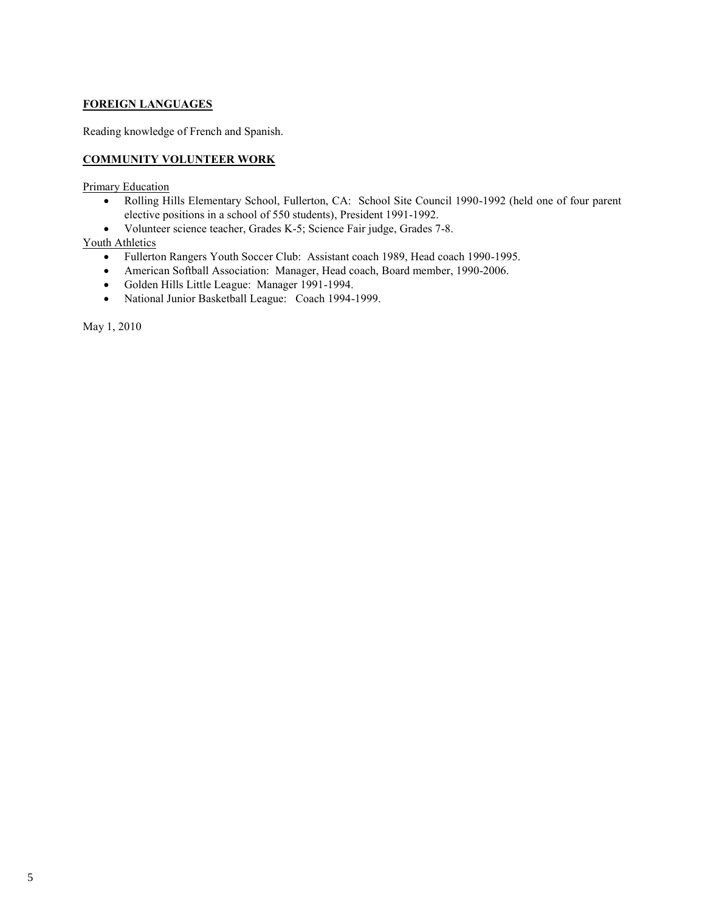# **FOREIGN LANGUAGES**

Reading knowledge of French and Spanish.

# **COMMUNITY VOLUNTEER WORK**

**Primary Education** 

- Rolling Hills Elementary School, Fullerton, CA: School Site Council 1990-1992 (held one of four parent elective positions in a school of 550 students), President 1991-1992.
- Volunteer science teacher, Grades K-5; Science Fair judge, Grades 7-8.

# Youth Athletics

- Fullerton Rangers Youth Soccer Club: Assistant coach 1989, Head coach 1990-1995.
- American Softball Association: Manager, Head coach, Board member, 1990-2006.
- Golden Hills Little League: Manager 1991-1994.
- National Junior Basketball League: Coach 1994-1999.

May 1, 2010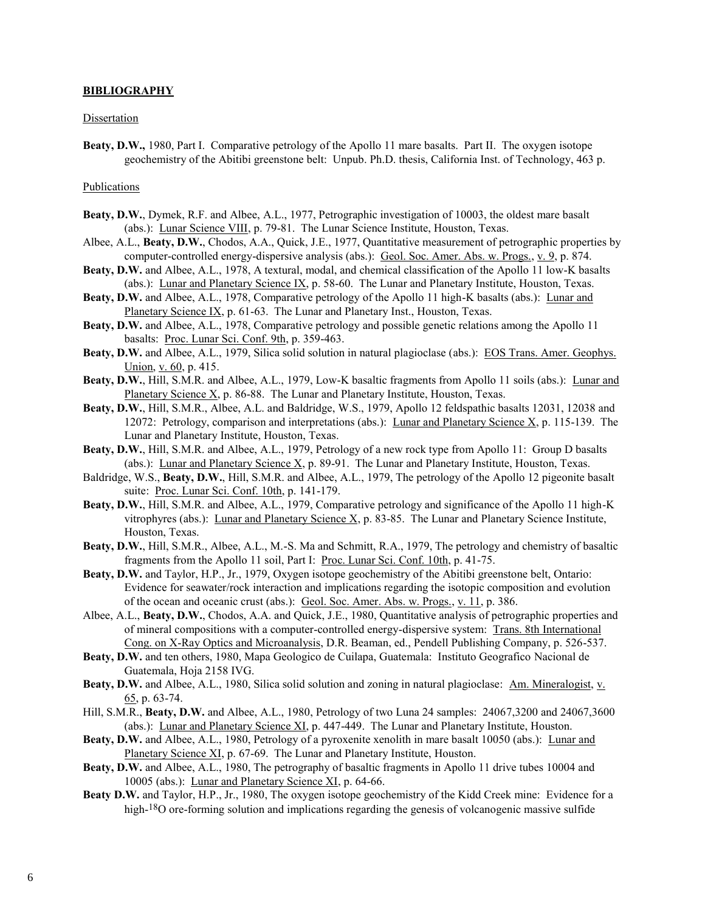#### **BIBLIOGRAPHY**

#### Dissertation

**Beaty, D.W.,** 1980, Part I. Comparative petrology of the Apollo 11 mare basalts. Part II. The oxygen isotope geochemistry of the Abitibi greenstone belt: Unpub. Ph.D. thesis, California Inst. of Technology, 463 p.

### Publications

- **Beaty, D.W.**, Dymek, R.F. and Albee, A.L., 1977, Petrographic investigation of 10003, the oldest mare basalt (abs.): Lunar Science VIII, p. 79-81. The Lunar Science Institute, Houston, Texas.
- Albee, A.L., **Beaty, D.W.**, Chodos, A.A., Quick, J.E., 1977, Quantitative measurement of petrographic properties by computer-controlled energy-dispersive analysis (abs.): Geol. Soc. Amer. Abs. w. Progs., v. 9, p. 874.
- **Beaty, D.W.** and Albee, A.L., 1978, A textural, modal, and chemical classification of the Apollo 11 low-K basalts (abs.): Lunar and Planetary Science IX, p. 58-60. The Lunar and Planetary Institute, Houston, Texas.
- Beaty, D.W. and Albee, A.L., 1978, Comparative petrology of the Apollo 11 high-K basalts (abs.): Lunar and Planetary Science IX, p. 61-63. The Lunar and Planetary Inst., Houston, Texas.
- **Beaty, D.W.** and Albee, A.L., 1978, Comparative petrology and possible genetic relations among the Apollo 11 basalts: Proc. Lunar Sci. Conf. 9th, p. 359-463.
- **Beaty, D.W.** and Albee, A.L., 1979, Silica solid solution in natural plagioclase (abs.): EOS Trans. Amer. Geophys. Union, v. 60, p. 415.
- **Beaty, D.W.**, Hill, S.M.R. and Albee, A.L., 1979, Low-K basaltic fragments from Apollo 11 soils (abs.): Lunar and Planetary Science X, p. 86-88. The Lunar and Planetary Institute, Houston, Texas.
- **Beaty, D.W.**, Hill, S.M.R., Albee, A.L. and Baldridge, W.S., 1979, Apollo 12 feldspathic basalts 12031, 12038 and 12072: Petrology, comparison and interpretations (abs.): Lunar and Planetary Science X, p. 115-139. The Lunar and Planetary Institute, Houston, Texas.
- **Beaty, D.W.**, Hill, S.M.R. and Albee, A.L., 1979, Petrology of a new rock type from Apollo 11: Group D basalts (abs.): Lunar and Planetary Science  $X$ , p. 89-91. The Lunar and Planetary Institute, Houston, Texas.
- Baldridge, W.S., **Beaty, D.W.**, Hill, S.M.R. and Albee, A.L., 1979, The petrology of the Apollo 12 pigeonite basalt suite: Proc. Lunar Sci. Conf. 10th, p. 141-179.
- **Beaty, D.W.**, Hill, S.M.R. and Albee, A.L., 1979, Comparative petrology and significance of the Apollo 11 high-K vitrophyres (abs.): Lunar and Planetary Science X, p. 83-85. The Lunar and Planetary Science Institute, Houston, Texas.
- **Beaty, D.W.**, Hill, S.M.R., Albee, A.L., M.-S. Ma and Schmitt, R.A., 1979, The petrology and chemistry of basaltic fragments from the Apollo 11 soil, Part I: Proc. Lunar Sci. Conf. 10th, p. 41-75.
- **Beaty, D.W.** and Taylor, H.P., Jr., 1979, Oxygen isotope geochemistry of the Abitibi greenstone belt, Ontario: Evidence for seawater/rock interaction and implications regarding the isotopic composition and evolution of the ocean and oceanic crust (abs.): Geol. Soc. Amer. Abs. w. Progs., v. 11, p. 386.
- Albee, A.L., **Beaty, D.W.**, Chodos, A.A. and Quick, J.E., 1980, Quantitative analysis of petrographic properties and of mineral compositions with a computer-controlled energy-dispersive system: Trans. 8th International Cong. on X-Ray Optics and Microanalysis, D.R. Beaman, ed., Pendell Publishing Company, p. 526-537.
- **Beaty, D.W.** and ten others, 1980, Mapa Geologico de Cuilapa, Guatemala: Instituto Geografico Nacional de Guatemala, Hoja 2158 IVG.
- **Beaty, D.W.** and Albee, A.L., 1980, Silica solid solution and zoning in natural plagioclase: Am. Mineralogist, v. 65, p. 63-74.
- Hill, S.M.R., **Beaty, D.W.** and Albee, A.L., 1980, Petrology of two Luna 24 samples: 24067,3200 and 24067,3600 (abs.): Lunar and Planetary Science XI, p. 447-449. The Lunar and Planetary Institute, Houston.
- **Beaty, D.W.** and Albee, A.L., 1980, Petrology of a pyroxenite xenolith in mare basalt 10050 (abs.): Lunar and Planetary Science XI, p. 67-69. The Lunar and Planetary Institute, Houston.
- **Beaty, D.W.** and Albee, A.L., 1980, The petrography of basaltic fragments in Apollo 11 drive tubes 10004 and 10005 (abs.): Lunar and Planetary Science XI, p. 64-66.
- **Beaty D.W.** and Taylor, H.P., Jr., 1980, The oxygen isotope geochemistry of the Kidd Creek mine: Evidence for a high-<sup>18</sup>O ore-forming solution and implications regarding the genesis of volcanogenic massive sulfide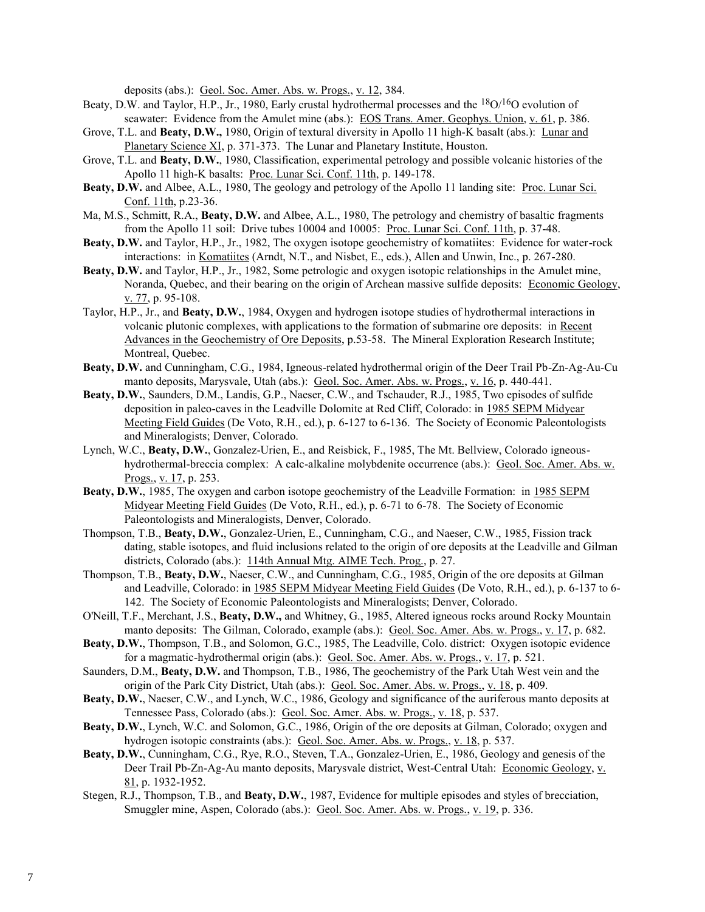deposits (abs.): Geol. Soc. Amer. Abs. w. Progs., v. 12, 384.

- Beaty, D.W. and Taylor, H.P., Jr., 1980, Early crustal hydrothermal processes and the  $18O/16O$  evolution of seawater: Evidence from the Amulet mine (abs.): EOS Trans. Amer. Geophys. Union, v. 61, p. 386.
- Grove, T.L. and **Beaty, D.W.,** 1980, Origin of textural diversity in Apollo 11 high-K basalt (abs.): Lunar and Planetary Science XI, p. 371-373. The Lunar and Planetary Institute, Houston.
- Grove, T.L. and **Beaty, D.W.**, 1980, Classification, experimental petrology and possible volcanic histories of the Apollo 11 high-K basalts: Proc. Lunar Sci. Conf. 11th, p. 149-178.
- **Beaty, D.W.** and Albee, A.L., 1980, The geology and petrology of the Apollo 11 landing site: Proc. Lunar Sci. Conf. 11th, p.23-36.
- Ma, M.S., Schmitt, R.A., **Beaty, D.W.** and Albee, A.L., 1980, The petrology and chemistry of basaltic fragments from the Apollo 11 soil: Drive tubes 10004 and 10005: Proc. Lunar Sci. Conf. 11th, p. 37-48.
- **Beaty, D.W.** and Taylor, H.P., Jr., 1982, The oxygen isotope geochemistry of komatiites: Evidence for water-rock interactions: in Komatiites (Arndt, N.T., and Nisbet, E., eds.), Allen and Unwin, Inc., p. 267-280.
- **Beaty, D.W.** and Taylor, H.P., Jr., 1982, Some petrologic and oxygen isotopic relationships in the Amulet mine, Noranda, Quebec, and their bearing on the origin of Archean massive sulfide deposits: Economic Geology, v. 77, p. 95-108.
- Taylor, H.P., Jr., and **Beaty, D.W.**, 1984, Oxygen and hydrogen isotope studies of hydrothermal interactions in volcanic plutonic complexes, with applications to the formation of submarine ore deposits: in Recent Advances in the Geochemistry of Ore Deposits, p.53-58. The Mineral Exploration Research Institute; Montreal, Quebec.
- **Beaty, D.W.** and Cunningham, C.G., 1984, Igneous-related hydrothermal origin of the Deer Trail Pb-Zn-Ag-Au-Cu manto deposits, Marysvale, Utah (abs.): Geol. Soc. Amer. Abs. w. Progs., v. 16, p. 440-441.
- **Beaty, D.W.**, Saunders, D.M., Landis, G.P., Naeser, C.W., and Tschauder, R.J., 1985, Two episodes of sulfide deposition in paleo-caves in the Leadville Dolomite at Red Cliff, Colorado: in 1985 SEPM Midyear Meeting Field Guides (De Voto, R.H., ed.), p. 6-127 to 6-136. The Society of Economic Paleontologists and Mineralogists; Denver, Colorado.
- Lynch, W.C., **Beaty, D.W.**, Gonzalez-Urien, E., and Reisbick, F., 1985, The Mt. Bellview, Colorado igneoushydrothermal-breccia complex: A calc-alkaline molybdenite occurrence (abs.): Geol. Soc. Amer. Abs. w. Progs., v. 17, p. 253.
- **Beaty, D.W.**, 1985, The oxygen and carbon isotope geochemistry of the Leadville Formation: in 1985 SEPM Midyear Meeting Field Guides (De Voto, R.H., ed.), p. 6-71 to 6-78. The Society of Economic Paleontologists and Mineralogists, Denver, Colorado.
- Thompson, T.B., **Beaty, D.W.**, Gonzalez-Urien, E., Cunningham, C.G., and Naeser, C.W., 1985, Fission track dating, stable isotopes, and fluid inclusions related to the origin of ore deposits at the Leadville and Gilman districts, Colorado (abs.): 114th Annual Mtg. AIME Tech. Prog., p. 27.
- Thompson, T.B., **Beaty, D.W.**, Naeser, C.W., and Cunningham, C.G., 1985, Origin of the ore deposits at Gilman and Leadville, Colorado: in 1985 SEPM Midyear Meeting Field Guides (De Voto, R.H., ed.), p. 6-137 to 6- 142. The Society of Economic Paleontologists and Mineralogists; Denver, Colorado.
- O'Neill, T.F., Merchant, J.S., **Beaty, D.W.,** and Whitney, G., 1985, Altered igneous rocks around Rocky Mountain manto deposits: The Gilman, Colorado, example (abs.): Geol. Soc. Amer. Abs. w. Progs., v. 17, p. 682.
- **Beaty, D.W.**, Thompson, T.B., and Solomon, G.C., 1985, The Leadville, Colo. district: Oxygen isotopic evidence for a magmatic-hydrothermal origin (abs.): Geol. Soc. Amer. Abs. w. Progs., v. 17, p. 521.
- Saunders, D.M., **Beaty, D.W.** and Thompson, T.B., 1986, The geochemistry of the Park Utah West vein and the origin of the Park City District, Utah (abs.): Geol. Soc. Amer. Abs. w. Progs., v. 18, p. 409.
- **Beaty, D.W.**, Naeser, C.W., and Lynch, W.C., 1986, Geology and significance of the auriferous manto deposits at Tennessee Pass, Colorado (abs.): Geol. Soc. Amer. Abs. w. Progs., v. 18, p. 537.
- **Beaty, D.W.**, Lynch, W.C. and Solomon, G.C., 1986, Origin of the ore deposits at Gilman, Colorado; oxygen and hydrogen isotopic constraints (abs.): Geol. Soc. Amer. Abs. w. Progs., v. 18, p. 537.
- **Beaty, D.W.**, Cunningham, C.G., Rye, R.O., Steven, T.A., Gonzalez-Urien, E., 1986, Geology and genesis of the Deer Trail Pb-Zn-Ag-Au manto deposits, Marysvale district, West-Central Utah: Economic Geology, v. 81, p. 1932-1952.
- Stegen, R.J., Thompson, T.B., and **Beaty, D.W.**, 1987, Evidence for multiple episodes and styles of brecciation, Smuggler mine, Aspen, Colorado (abs.): Geol. Soc. Amer. Abs. w. Progs., v. 19, p. 336.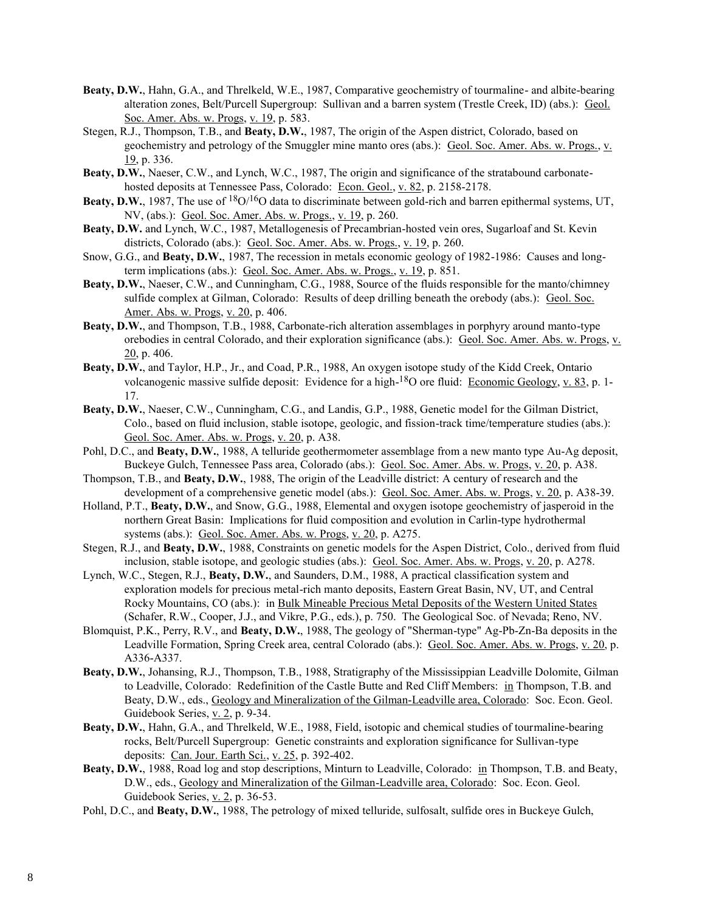- **Beaty, D.W.**, Hahn, G.A., and Threlkeld, W.E., 1987, Comparative geochemistry of tourmaline- and albite-bearing alteration zones, Belt/Purcell Supergroup: Sullivan and a barren system (Trestle Creek, ID) (abs.): Geol. Soc. Amer. Abs. w. Progs, v. 19, p. 583.
- Stegen, R.J., Thompson, T.B., and **Beaty, D.W.**, 1987, The origin of the Aspen district, Colorado, based on geochemistry and petrology of the Smuggler mine manto ores (abs.): Geol. Soc. Amer. Abs. w. Progs., v. 19, p. 336.
- **Beaty, D.W.**, Naeser, C.W., and Lynch, W.C., 1987, The origin and significance of the stratabound carbonatehosted deposits at Tennessee Pass, Colorado: Econ. Geol., v. 82, p. 2158-2178.
- **Beaty, D.W.**, 1987, The use of <sup>18</sup>O/<sup>16</sup>O data to discriminate between gold-rich and barren epithermal systems, UT, NV, (abs.): Geol. Soc. Amer. Abs. w. Progs., v. 19, p. 260.
- **Beaty, D.W.** and Lynch, W.C., 1987, Metallogenesis of Precambrian-hosted vein ores, Sugarloaf and St. Kevin districts, Colorado (abs.): Geol. Soc. Amer. Abs. w. Progs., v. 19, p. 260.
- Snow, G.G., and **Beaty, D.W.**, 1987, The recession in metals economic geology of 1982-1986: Causes and longterm implications (abs.): Geol. Soc. Amer. Abs. w. Progs., v. 19, p. 851.
- **Beaty, D.W.**, Naeser, C.W., and Cunningham, C.G., 1988, Source of the fluids responsible for the manto/chimney sulfide complex at Gilman, Colorado: Results of deep drilling beneath the orebody (abs.): Geol. Soc. Amer. Abs. w. Progs, v. 20, p. 406.
- **Beaty, D.W.**, and Thompson, T.B., 1988, Carbonate-rich alteration assemblages in porphyry around manto-type orebodies in central Colorado, and their exploration significance (abs.): Geol. Soc. Amer. Abs. w. Progs, v.  $20$ , p. 406.
- **Beaty, D.W.**, and Taylor, H.P., Jr., and Coad, P.R., 1988, An oxygen isotope study of the Kidd Creek, Ontario volcanogenic massive sulfide deposit: Evidence for a high-<sup>18</sup>O ore fluid: Economic Geology, v. 83, p. 1-17.
- **Beaty, D.W.**, Naeser, C.W., Cunningham, C.G., and Landis, G.P., 1988, Genetic model for the Gilman District, Colo., based on fluid inclusion, stable isotope, geologic, and fission-track time/temperature studies (abs.): Geol. Soc. Amer. Abs. w. Progs, v. 20, p. A38.
- Pohl, D.C., and **Beaty, D.W.**, 1988, A telluride geothermometer assemblage from a new manto type Au-Ag deposit, Buckeye Gulch, Tennessee Pass area, Colorado (abs.): Geol. Soc. Amer. Abs. w. Progs, v. 20, p. A38.
- Thompson, T.B., and **Beaty, D.W.**, 1988, The origin of the Leadville district: A century of research and the development of a comprehensive genetic model (abs.): Geol. Soc. Amer. Abs. w. Progs, v. 20, p. A38-39.
- Holland, P.T., **Beaty, D.W.**, and Snow, G.G., 1988, Elemental and oxygen isotope geochemistry of jasperoid in the northern Great Basin: Implications for fluid composition and evolution in Carlin-type hydrothermal systems (abs.): Geol. Soc. Amer. Abs. w. Progs, v. 20, p. A275.
- Stegen, R.J., and **Beaty, D.W.**, 1988, Constraints on genetic models for the Aspen District, Colo., derived from fluid inclusion, stable isotope, and geologic studies (abs.): Geol. Soc. Amer. Abs. w. Progs, v. 20, p. A278.
- Lynch, W.C., Stegen, R.J., **Beaty, D.W.**, and Saunders, D.M., 1988, A practical classification system and exploration models for precious metal-rich manto deposits, Eastern Great Basin, NV, UT, and Central Rocky Mountains, CO (abs.): in Bulk Mineable Precious Metal Deposits of the Western United States (Schafer, R.W., Cooper, J.J., and Vikre, P.G., eds.), p. 750. The Geological Soc. of Nevada; Reno, NV.
- Blomquist, P.K., Perry, R.V., and **Beaty, D.W.**, 1988, The geology of "Sherman-type" Ag-Pb-Zn-Ba deposits in the Leadville Formation, Spring Creek area, central Colorado (abs.): Geol. Soc. Amer. Abs. w. Progs, v. 20, p. A336-A337.
- **Beaty, D.W.**, Johansing, R.J., Thompson, T.B., 1988, Stratigraphy of the Mississippian Leadville Dolomite, Gilman to Leadville, Colorado: Redefinition of the Castle Butte and Red Cliff Members: in Thompson, T.B. and Beaty, D.W., eds., Geology and Mineralization of the Gilman-Leadville area, Colorado: Soc. Econ. Geol. Guidebook Series, v. 2, p. 9-34.
- **Beaty, D.W.**, Hahn, G.A., and Threlkeld, W.E., 1988, Field, isotopic and chemical studies of tourmaline-bearing rocks, Belt/Purcell Supergroup: Genetic constraints and exploration significance for Sullivan-type deposits: Can. Jour. Earth Sci., v. 25, p. 392-402.
- **Beaty, D.W.**, 1988, Road log and stop descriptions, Minturn to Leadville, Colorado: in Thompson, T.B. and Beaty, D.W., eds., Geology and Mineralization of the Gilman-Leadville area, Colorado: Soc. Econ. Geol. Guidebook Series, v. 2, p. 36-53.
- Pohl, D.C., and **Beaty, D.W.**, 1988, The petrology of mixed telluride, sulfosalt, sulfide ores in Buckeye Gulch,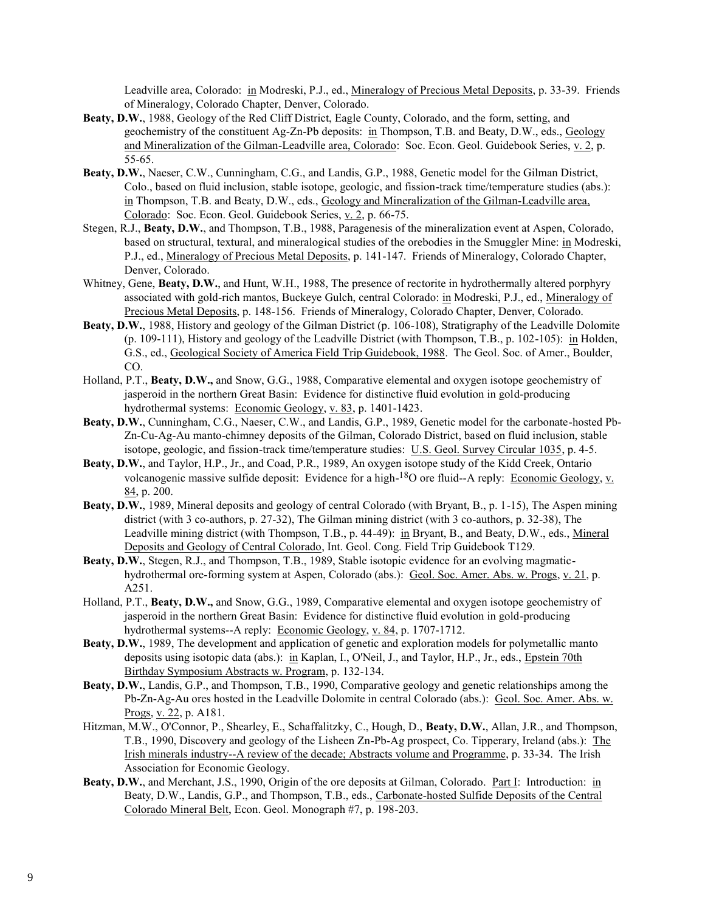Leadville area, Colorado: in Modreski, P.J., ed., Mineralogy of Precious Metal Deposits, p. 33-39. Friends of Mineralogy, Colorado Chapter, Denver, Colorado.

- **Beaty, D.W.**, 1988, Geology of the Red Cliff District, Eagle County, Colorado, and the form, setting, and geochemistry of the constituent Ag-Zn-Pb deposits: in Thompson, T.B. and Beaty, D.W., eds., Geology and Mineralization of the Gilman-Leadville area, Colorado: Soc. Econ. Geol. Guidebook Series, v. 2, p. 55-65.
- **Beaty, D.W.**, Naeser, C.W., Cunningham, C.G., and Landis, G.P., 1988, Genetic model for the Gilman District, Colo., based on fluid inclusion, stable isotope, geologic, and fission-track time/temperature studies (abs.): in Thompson, T.B. and Beaty, D.W., eds., Geology and Mineralization of the Gilman-Leadville area, Colorado: Soc. Econ. Geol. Guidebook Series, v. 2, p. 66-75.
- Stegen, R.J., **Beaty, D.W.**, and Thompson, T.B., 1988, Paragenesis of the mineralization event at Aspen, Colorado, based on structural, textural, and mineralogical studies of the orebodies in the Smuggler Mine: in Modreski, P.J., ed., Mineralogy of Precious Metal Deposits, p. 141-147. Friends of Mineralogy, Colorado Chapter, Denver, Colorado.
- Whitney, Gene, Beaty, D.W., and Hunt, W.H., 1988, The presence of rectorite in hydrothermally altered porphyry associated with gold-rich mantos, Buckeye Gulch, central Colorado: in Modreski, P.J., ed., Mineralogy of Precious Metal Deposits, p. 148-156. Friends of Mineralogy, Colorado Chapter, Denver, Colorado.
- **Beaty, D.W.**, 1988, History and geology of the Gilman District (p. 106-108), Stratigraphy of the Leadville Dolomite  $(p. 109-111)$ , History and geology of the Leadville District (with Thompson, T.B., p. 102-105): in Holden, G.S., ed., Geological Society of America Field Trip Guidebook, 1988. The Geol. Soc. of Amer., Boulder, CO.
- Holland, P.T., **Beaty, D.W.,** and Snow, G.G., 1988, Comparative elemental and oxygen isotope geochemistry of jasperoid in the northern Great Basin: Evidence for distinctive fluid evolution in gold-producing hydrothermal systems: Economic Geology, v. 83, p. 1401-1423.
- **Beaty, D.W.**, Cunningham, C.G., Naeser, C.W., and Landis, G.P., 1989, Genetic model for the carbonate-hosted Pb-Zn-Cu-Ag-Au manto-chimney deposits of the Gilman, Colorado District, based on fluid inclusion, stable isotope, geologic, and fission-track time/temperature studies: U.S. Geol. Survey Circular 1035, p. 4-5.
- **Beaty, D.W.**, and Taylor, H.P., Jr., and Coad, P.R., 1989, An oxygen isotope study of the Kidd Creek, Ontario volcanogenic massive sulfide deposit: Evidence for a high-<sup>18</sup>O ore fluid--A reply: Economic Geology, v. 84, p. 200.
- **Beaty, D.W.**, 1989, Mineral deposits and geology of central Colorado (with Bryant, B., p. 1-15), The Aspen mining district (with 3 co-authors, p. 27-32), The Gilman mining district (with 3 co-authors, p. 32-38), The Leadville mining district (with Thompson, T.B., p. 44-49): in Bryant, B., and Beaty, D.W., eds., Mineral Deposits and Geology of Central Colorado, Int. Geol. Cong. Field Trip Guidebook T129.
- **Beaty, D.W.**, Stegen, R.J., and Thompson, T.B., 1989, Stable isotopic evidence for an evolving magmatichydrothermal ore-forming system at Aspen, Colorado (abs.): Geol. Soc. Amer. Abs. w. Progs, v. 21, p. A251.
- Holland, P.T., **Beaty, D.W.,** and Snow, G.G., 1989, Comparative elemental and oxygen isotope geochemistry of jasperoid in the northern Great Basin: Evidence for distinctive fluid evolution in gold-producing hydrothermal systems--A reply: Economic Geology, v. 84, p. 1707-1712.
- **Beaty, D.W.**, 1989, The development and application of genetic and exploration models for polymetallic manto deposits using isotopic data (abs.): in Kaplan, I., O'Neil, J., and Taylor, H.P., Jr., eds., Epstein 70th Birthday Symposium Abstracts w. Program, p. 132-134.
- **Beaty, D.W.**, Landis, G.P., and Thompson, T.B., 1990, Comparative geology and genetic relationships among the Pb-Zn-Ag-Au ores hosted in the Leadville Dolomite in central Colorado (abs.): Geol. Soc. Amer. Abs. w. Progs, v. 22, p. A181.
- Hitzman, M.W., O'Connor, P., Shearley, E., Schaffalitzky, C., Hough, D., **Beaty, D.W.**, Allan, J.R., and Thompson, T.B., 1990, Discovery and geology of the Lisheen Zn-Pb-Ag prospect, Co. Tipperary, Ireland (abs.): The Irish minerals industry--A review of the decade; Abstracts volume and Programme, p. 33-34. The Irish Association for Economic Geology.
- **Beaty, D.W.**, and Merchant, J.S., 1990, Origin of the ore deposits at Gilman, Colorado. Part I: Introduction: in Beaty, D.W., Landis, G.P., and Thompson, T.B., eds., Carbonate-hosted Sulfide Deposits of the Central Colorado Mineral Belt, Econ. Geol. Monograph #7, p. 198-203.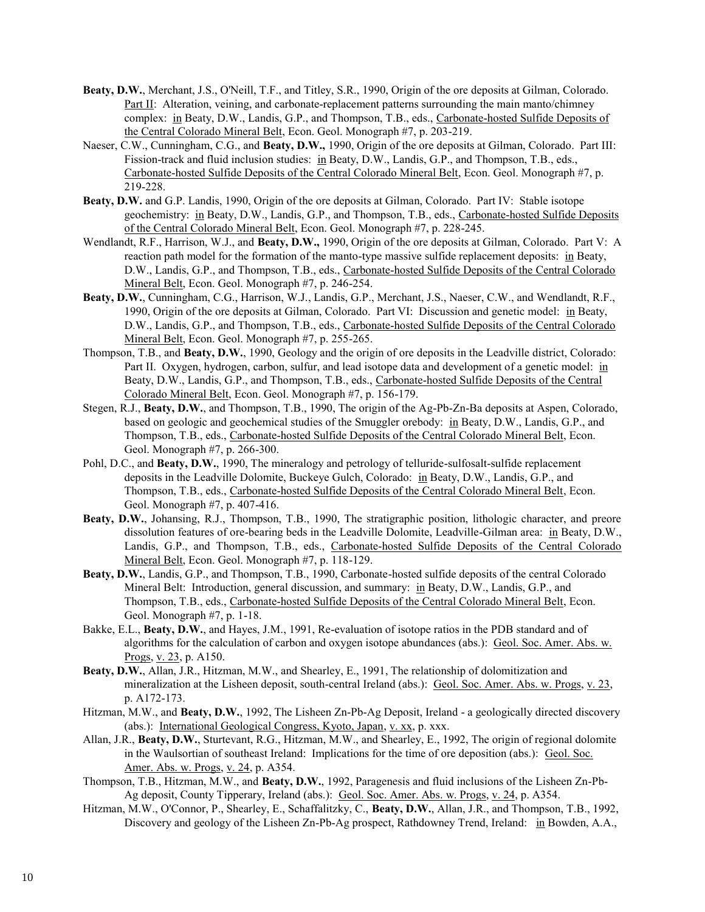- **Beaty, D.W.**, Merchant, J.S., O'Neill, T.F., and Titley, S.R., 1990, Origin of the ore deposits at Gilman, Colorado. Part II: Alteration, veining, and carbonate-replacement patterns surrounding the main manto/chimney complex: in Beaty, D.W., Landis, G.P., and Thompson, T.B., eds., Carbonate-hosted Sulfide Deposits of the Central Colorado Mineral Belt, Econ. Geol. Monograph #7, p. 203-219.
- Naeser, C.W., Cunningham, C.G., and **Beaty, D.W.,** 1990, Origin of the ore deposits at Gilman, Colorado. Part III: Fission-track and fluid inclusion studies: in Beaty, D.W., Landis, G.P., and Thompson, T.B., eds., Carbonate-hosted Sulfide Deposits of the Central Colorado Mineral Belt, Econ. Geol. Monograph #7, p. 219-228.
- **Beaty, D.W.** and G.P. Landis, 1990, Origin of the ore deposits at Gilman, Colorado. Part IV: Stable isotope geochemistry: in Beaty, D.W., Landis, G.P., and Thompson, T.B., eds., Carbonate-hosted Sulfide Deposits of the Central Colorado Mineral Belt, Econ. Geol. Monograph #7, p. 228-245.
- Wendlandt, R.F., Harrison, W.J., and **Beaty, D.W.,** 1990, Origin of the ore deposits at Gilman, Colorado. Part V: A reaction path model for the formation of the manto-type massive sulfide replacement deposits: in Beaty, D.W., Landis, G.P., and Thompson, T.B., eds., Carbonate-hosted Sulfide Deposits of the Central Colorado Mineral Belt, Econ. Geol. Monograph #7, p. 246-254.
- **Beaty, D.W.**, Cunningham, C.G., Harrison, W.J., Landis, G.P., Merchant, J.S., Naeser, C.W., and Wendlandt, R.F., 1990, Origin of the ore deposits at Gilman, Colorado. Part VI: Discussion and genetic model: in Beaty, D.W., Landis, G.P., and Thompson, T.B., eds., Carbonate-hosted Sulfide Deposits of the Central Colorado Mineral Belt, Econ. Geol. Monograph #7, p. 255-265.
- Thompson, T.B., and **Beaty, D.W.**, 1990, Geology and the origin of ore deposits in the Leadville district, Colorado: Part II. Oxygen, hydrogen, carbon, sulfur, and lead isotope data and development of a genetic model: in Beaty, D.W., Landis, G.P., and Thompson, T.B., eds., Carbonate-hosted Sulfide Deposits of the Central Colorado Mineral Belt, Econ. Geol. Monograph #7, p. 156-179.
- Stegen, R.J., **Beaty, D.W.**, and Thompson, T.B., 1990, The origin of the Ag-Pb-Zn-Ba deposits at Aspen, Colorado, based on geologic and geochemical studies of the Smuggler orebody: in Beaty, D.W., Landis, G.P., and Thompson, T.B., eds., Carbonate-hosted Sulfide Deposits of the Central Colorado Mineral Belt, Econ. Geol. Monograph #7, p. 266-300.
- Pohl, D.C., and **Beaty, D.W.**, 1990, The mineralogy and petrology of telluride-sulfosalt-sulfide replacement deposits in the Leadville Dolomite, Buckeye Gulch, Colorado: in Beaty, D.W., Landis, G.P., and Thompson, T.B., eds., Carbonate-hosted Sulfide Deposits of the Central Colorado Mineral Belt, Econ. Geol. Monograph #7, p. 407-416.
- **Beaty, D.W.**, Johansing, R.J., Thompson, T.B., 1990, The stratigraphic position, lithologic character, and preore dissolution features of ore-bearing beds in the Leadville Dolomite, Leadville-Gilman area: in Beaty, D.W., Landis, G.P., and Thompson, T.B., eds., Carbonate-hosted Sulfide Deposits of the Central Colorado Mineral Belt, Econ. Geol. Monograph #7, p. 118-129.
- **Beaty, D.W.**, Landis, G.P., and Thompson, T.B., 1990, Carbonate-hosted sulfide deposits of the central Colorado Mineral Belt: Introduction, general discussion, and summary: in Beaty, D.W., Landis, G.P., and Thompson, T.B., eds., Carbonate-hosted Sulfide Deposits of the Central Colorado Mineral Belt, Econ. Geol. Monograph #7, p. 1-18.
- Bakke, E.L., **Beaty, D.W.**, and Hayes, J.M., 1991, Re-evaluation of isotope ratios in the PDB standard and of algorithms for the calculation of carbon and oxygen isotope abundances (abs.): Geol. Soc. Amer. Abs. w. Progs, v. 23, p. A150.
- **Beaty, D.W.**, Allan, J.R., Hitzman, M.W., and Shearley, E., 1991, The relationship of dolomitization and mineralization at the Lisheen deposit, south-central Ireland (abs.): Geol. Soc. Amer. Abs. w. Progs, v. 23, p. A172-173.
- Hitzman, M.W., and **Beaty, D.W.**, 1992, The Lisheen Zn-Pb-Ag Deposit, Ireland a geologically directed discovery (abs.): International Geological Congress, Kyoto, Japan, v. xx, p. xxx.
- Allan, J.R., **Beaty, D.W.**, Sturtevant, R.G., Hitzman, M.W., and Shearley, E., 1992, The origin of regional dolomite in the Waulsortian of southeast Ireland: Implications for the time of ore deposition (abs.): Geol. Soc. Amer. Abs. w. Progs, v. 24, p. A354.
- Thompson, T.B., Hitzman, M.W., and **Beaty, D.W.**, 1992, Paragenesis and fluid inclusions of the Lisheen Zn-Pb-Ag deposit, County Tipperary, Ireland (abs.): Geol. Soc. Amer. Abs. w. Progs, v. 24, p. A354.
- Hitzman, M.W., O'Connor, P., Shearley, E., Schaffalitzky, C., **Beaty, D.W.**, Allan, J.R., and Thompson, T.B., 1992, Discovery and geology of the Lisheen Zn-Pb-Ag prospect, Rathdowney Trend, Ireland: in Bowden, A.A.,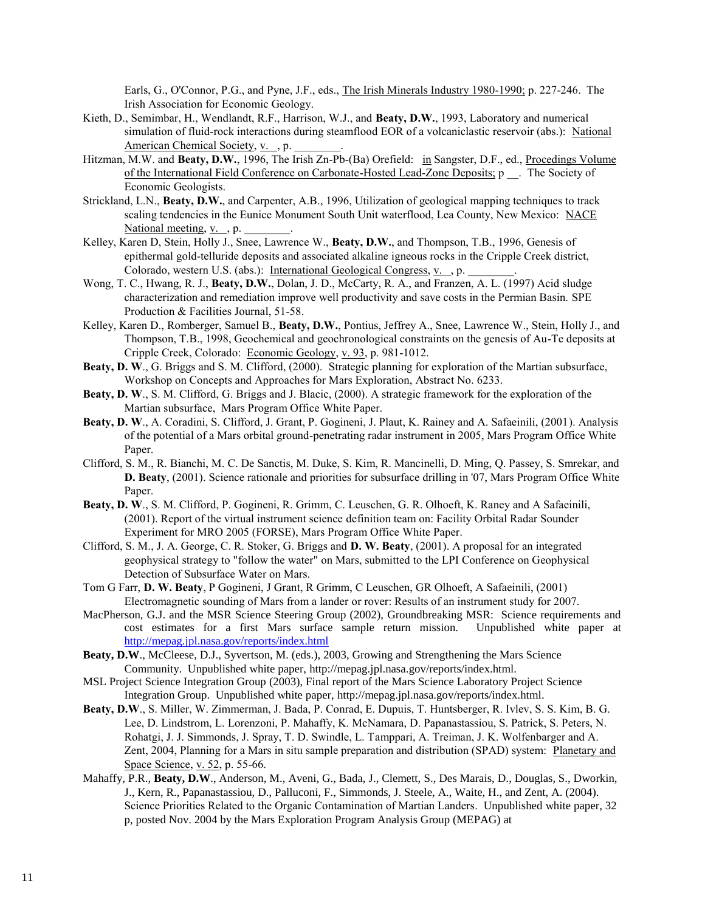Earls, G., O'Connor, P.G., and Pyne, J.F., eds., The Irish Minerals Industry 1980-1990; p. 227-246. The Irish Association for Economic Geology.

- Kieth, D., Semimbar, H., Wendlandt, R.F., Harrison, W.J., and **Beaty, D.W.**, 1993, Laboratory and numerical simulation of fluid-rock interactions during steamflood EOR of a volcaniclastic reservoir (abs.): National American Chemical Society, v., p.
- Hitzman, M.W. and **Beaty, D.W.**, 1996, The Irish Zn-Pb-(Ba) Orefield: in Sangster, D.F., ed., Procedings Volume of the International Field Conference on Carbonate-Hosted Lead-Zonc Deposits; p \_\_. The Society of Economic Geologists.
- Strickland, L.N., **Beaty, D.W.**, and Carpenter, A.B., 1996, Utilization of geological mapping techniques to track scaling tendencies in the Eunice Monument South Unit waterflood, Lea County, New Mexico: NACE National meeting,  $v_{\cdot}$ , p.
- Kelley, Karen D, Stein, Holly J., Snee, Lawrence W., **Beaty, D.W.**, and Thompson, T.B., 1996, Genesis of epithermal gold-telluride deposits and associated alkaline igneous rocks in the Cripple Creek district, Colorado, western U.S. (abs.): International Geological Congress, v., p.
- Wong, T. C., Hwang, R. J., **Beaty, D.W.**, Dolan, J. D., McCarty, R. A., and Franzen, A. L. (1997) Acid sludge characterization and remediation improve well productivity and save costs in the Permian Basin. SPE Production & Facilities Journal, 51-58.
- Kelley, Karen D., Romberger, Samuel B., **Beaty, D.W.**, Pontius, Jeffrey A., Snee, Lawrence W., Stein, Holly J., and Thompson, T.B., 1998, Geochemical and geochronological constraints on the genesis of Au-Te deposits at Cripple Creek, Colorado: Economic Geology, v. 93, p. 981-1012.
- **Beaty, D. W**., G. Briggs and S. M. Clifford, (2000). Strategic planning for exploration of the Martian subsurface, Workshop on Concepts and Approaches for Mars Exploration, Abstract No. 6233.
- **Beaty, D. W**., S. M. Clifford, G. Briggs and J. Blacic, (2000). A strategic framework for the exploration of the Martian subsurface, Mars Program Office White Paper.
- **Beaty, D. W**., A. Coradini, S. Clifford, J. Grant, P. Gogineni, J. Plaut, K. Rainey and A. Safaeinili, (2001). Analysis of the potential of a Mars orbital ground-penetrating radar instrument in 2005, Mars Program Office White Paper.
- Clifford, S. M., R. Bianchi, M. C. De Sanctis, M. Duke, S. Kim, R. Mancinelli, D. Ming, Q. Passey, S. Smrekar, and **D. Beaty**, (2001). Science rationale and priorities for subsurface drilling in '07, Mars Program Office White Paper.
- **Beaty, D. W**., S. M. Clifford, P. Gogineni, R. Grimm, C. Leuschen, G. R. Olhoeft, K. Raney and A Safaeinili, (2001). Report of the virtual instrument science definition team on: Facility Orbital Radar Sounder Experiment for MRO 2005 (FORSE), Mars Program Office White Paper.
- Clifford, S. M., J. A. George, C. R. Stoker, G. Briggs and **D. W. Beaty**, (2001). A proposal for an integrated geophysical strategy to "follow the water" on Mars, submitted to the LPI Conference on Geophysical Detection of Subsurface Water on Mars.
- Tom G Farr, **D. W. Beaty**, P Gogineni, J Grant, R Grimm, C Leuschen, GR Olhoeft, A Safaeinili, (2001) Electromagnetic sounding of Mars from a lander or rover: Results of an instrument study for 2007.
- MacPherson, G.J. and the MSR Science Steering Group (2002), Groundbreaking MSR: Science requirements and cost estimates for a first Mars surface sample return mission. Unpublished white paper at <http://mepag.jpl.nasa.gov/reports/index.html>
- **Beaty, D.W**., McCleese, D.J., Syvertson, M. (eds.), 2003, Growing and Strengthening the Mars Science Community. Unpublished white paper, http://mepag.jpl.nasa.gov/reports/index.html.
- MSL Project Science Integration Group (2003), Final report of the Mars Science Laboratory Project Science Integration Group. Unpublished white paper, http://mepag.jpl.nasa.gov/reports/index.html.
- **Beaty, D.W**., S. Miller, W. Zimmerman, J. Bada, P. Conrad, E. Dupuis, T. Huntsberger, R. Ivlev, S. S. Kim, B. G. Lee, D. Lindstrom, L. Lorenzoni, P. Mahaffy, K. McNamara, D. Papanastassiou, S. Patrick, S. Peters, N. Rohatgi, J. J. Simmonds, J. Spray, T. D. Swindle, L. Tamppari, A. Treiman, J. K. Wolfenbarger and A. Zent, 2004, Planning for a Mars in situ sample preparation and distribution (SPAD) system: Planetary and Space Science, v. 52, p. 55-66.
- Mahaffy, P.R., **Beaty, D.W**., Anderson, M., Aveni, G., Bada, J., Clemett, S., Des Marais, D., Douglas, S., Dworkin, J., Kern, R., Papanastassiou, D., Palluconi, F., Simmonds, J. Steele, A., Waite, H., and Zent, A. (2004). Science Priorities Related to the Organic Contamination of Martian Landers. Unpublished white paper, 32 p, posted Nov. 2004 by the Mars Exploration Program Analysis Group (MEPAG) at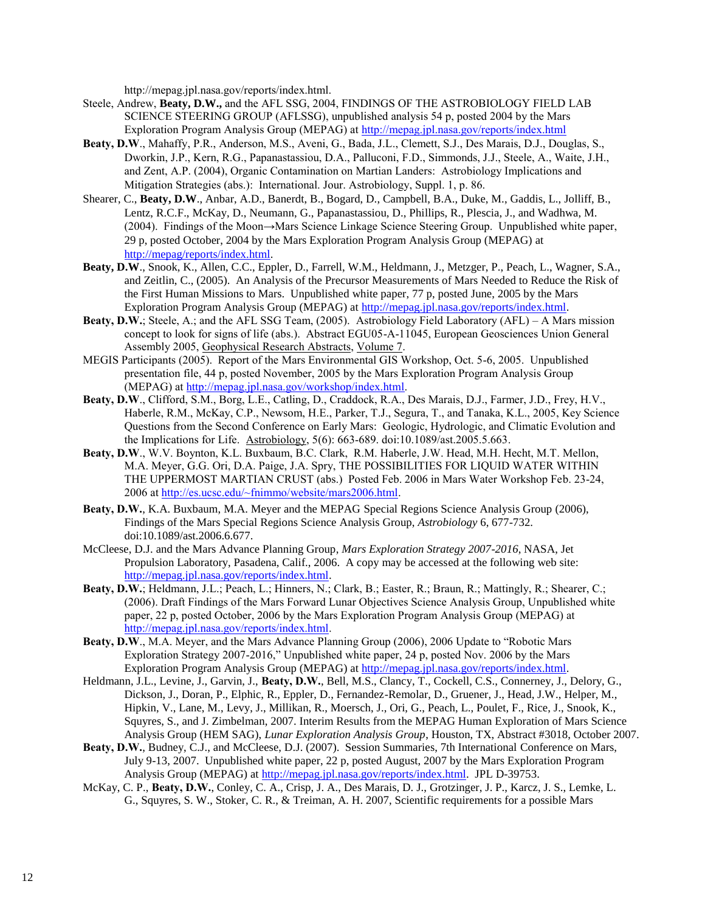http://mepag.jpl.nasa.gov/reports/index.html.

- Steele, Andrew, **Beaty, D.W.,** and the AFL SSG, 2004, FINDINGS OF THE ASTROBIOLOGY FIELD LAB SCIENCE STEERING GROUP (AFLSSG), unpublished analysis 54 p, posted 2004 by the Mars Exploration Program Analysis Group (MEPAG) at<http://mepag.jpl.nasa.gov/reports/index.html>
- **Beaty, D.W**., Mahaffy, P.R., Anderson, M.S., Aveni, G., Bada, J.L., Clemett, S.J., Des Marais, D.J., Douglas, S., Dworkin, J.P., Kern, R.G., Papanastassiou, D.A., Palluconi, F.D., Simmonds, J.J., Steele, A., Waite, J.H., and Zent, A.P. (2004), Organic Contamination on Martian Landers: Astrobiology Implications and Mitigation Strategies (abs.): International. Jour. Astrobiology, Suppl. 1, p. 86.
- Shearer, C., **Beaty, D.W**., Anbar, A.D., Banerdt, B., Bogard, D., Campbell, B.A., Duke, M., Gaddis, L., Jolliff, B., Lentz, R.C.F., McKay, D., Neumann, G., Papanastassiou, D., Phillips, R., Plescia, J., and Wadhwa, M. (2004). Findings of the Moon→Mars Science Linkage Science Steering Group. Unpublished white paper, 29 p, posted October, 2004 by the Mars Exploration Program Analysis Group (MEPAG) at [http://mepag/reports/index.html.](http://mepag/reports/index.html)
- **Beaty, D.W**., Snook, K., Allen, C.C., Eppler, D., Farrell, W.M., Heldmann, J., Metzger, P., Peach, L., Wagner, S.A., and Zeitlin, C., (2005). An Analysis of the Precursor Measurements of Mars Needed to Reduce the Risk of the First Human Missions to Mars. Unpublished white paper, 77 p, posted June, 2005 by the Mars Exploration Program Analysis Group (MEPAG) at [http://mepag.jpl.nasa.gov/reports/index.html.](http://mepag.jpl.nasa.gov/reports/index.html)
- **Beaty, D.W.**; Steele, A.; and the AFL SSG Team, (2005). Astrobiology Field Laboratory (AFL) A Mars mission concept to look for signs of life (abs.). Abstract EGU05-A-11045, European Geosciences Union General Assembly 2005, Geophysical Research Abstracts, Volume 7.
- MEGIS Participants (2005). Report of the Mars Environmental GIS Workshop, Oct. 5-6, 2005. Unpublished presentation file, 44 p, posted November, 2005 by the Mars Exploration Program Analysis Group (MEPAG) at [http://mepag.jpl.nasa.gov/workshop/index.html.](http://mepag.jpl.nasa.gov/workshop/index.html)
- **Beaty, D.W**., Clifford, S.M., Borg, L.E., Catling, D., Craddock, R.A., Des Marais, D.J., Farmer, J.D., Frey, H.V., Haberle, R.M., McKay, C.P., Newsom, H.E., Parker, T.J., Segura, T., and Tanaka, K.L., 2005, Key Science Questions from the Second Conference on Early Mars: Geologic, Hydrologic, and Climatic Evolution and the Implications for Life. Astrobiology, 5(6): 663-689. doi:10.1089/ast.2005.5.663.
- **Beaty, D.W**., W.V. Boynton, K.L. Buxbaum, B.C. Clark, R.M. Haberle, J.W. Head, M.H. Hecht, M.T. Mellon, M.A. Meyer, G.G. Ori, D.A. Paige, J.A. Spry, THE POSSIBILITIES FOR LIQUID WATER WITHIN THE UPPERMOST MARTIAN CRUST (abs.) Posted Feb. 2006 in Mars Water Workshop Feb. 23-24, 2006 at [http://es.ucsc.edu/~fnimmo/website/mars2006.html.](http://es.ucsc.edu/~fnimmo/website/mars2006.html)
- **Beaty, D.W.**, K.A. Buxbaum, M.A. Meyer and the MEPAG Special Regions Science Analysis Group (2006), Findings of the Mars Special Regions Science Analysis Group, *Astrobiology* 6, 677-732. doi:10.1089/ast.2006.6.677.
- McCleese, D.J. and the Mars Advance Planning Group, *Mars Exploration Strategy 2007-2016*, NASA, Jet Propulsion Laboratory, Pasadena, Calif., 2006. A copy may be accessed at the following web site: [http://mepag.jpl.nasa.gov/reports/index.html.](http://mepag.jpl.nasa.gov/reports/index.html)
- **Beaty, D.W.**; Heldmann, J.L.; Peach, L.; Hinners, N.; Clark, B.; Easter, R.; Braun, R.; Mattingly, R.; Shearer, C.; (2006). Draft Findings of the Mars Forward Lunar Objectives Science Analysis Group, Unpublished white paper, 22 p, posted October, 2006 by the Mars Exploration Program Analysis Group (MEPAG) at [http://mepag.jpl.nasa.gov/reports/index.html.](http://mepag.jpl.nasa.gov/reports/index.html)
- **Beaty, D.W**., M.A. Meyer, and the Mars Advance Planning Group (2006), 2006 Update to "Robotic Mars Exploration Strategy 2007-2016," Unpublished white paper, 24 p, posted Nov. 2006 by the Mars Exploration Program Analysis Group (MEPAG) at [http://mepag.jpl.nasa.gov/reports/index.html.](http://mepag.jpl.nasa.gov/reports/index.html)
- Heldmann, J.L., Levine, J., Garvin, J., **Beaty, D.W.**, Bell, M.S., Clancy, T., Cockell, C.S., Connerney, J., Delory, G., Dickson, J., Doran, P., Elphic, R., Eppler, D., Fernandez-Remolar, D., Gruener, J., Head, J.W., Helper, M., Hipkin, V., Lane, M., Levy, J., Millikan, R., Moersch, J., Ori, G., Peach, L., Poulet, F., Rice, J., Snook, K., Squyres, S., and J. Zimbelman, 2007. Interim Results from the MEPAG Human Exploration of Mars Science Analysis Group (HEM SAG), *Lunar Exploration Analysis Group*, Houston, TX, Abstract #3018, October 2007.
- **Beaty, D.W.**, Budney, C.J., and McCleese, D.J. (2007). Session Summaries, 7th International Conference on Mars, July 9-13, 2007. Unpublished white paper, 22 p, posted August, 2007 by the Mars Exploration Program Analysis Group (MEPAG) at [http://mepag.jpl.nasa.gov/reports/index.html.](http://mepag.jpl.nasa.gov/reports/index.html) JPL D-39753.
- McKay, C. P., **Beaty, D.W.**, Conley, C. A., Crisp, J. A., Des Marais, D. J., Grotzinger, J. P., Karcz, J. S., Lemke, L. G., Squyres, S. W., Stoker, C. R., & Treiman, A. H. 2007, Scientific requirements for a possible Mars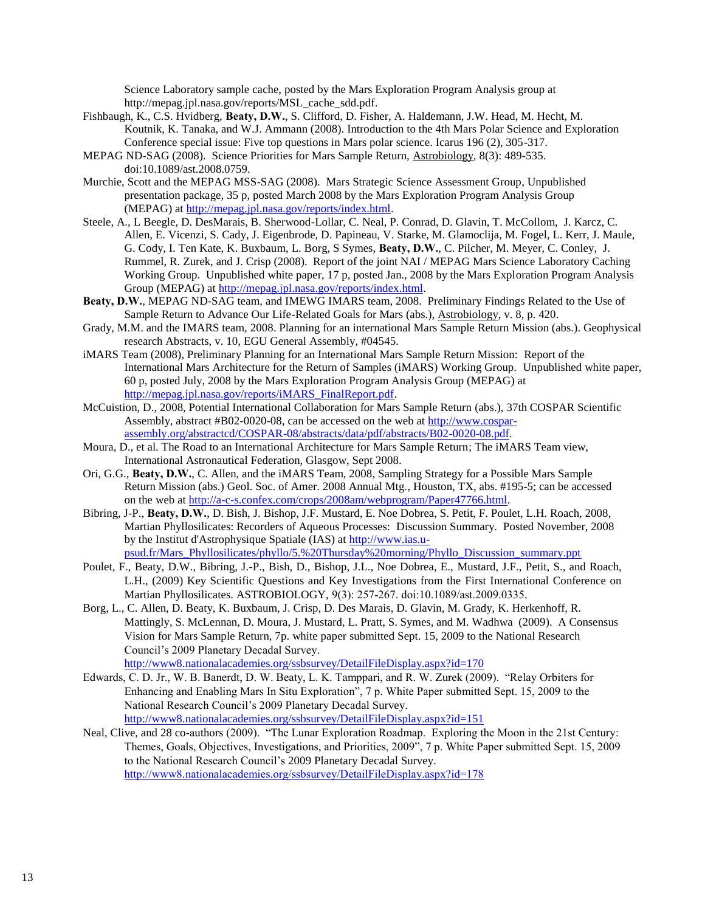Science Laboratory sample cache, posted by the Mars Exploration Program Analysis group at http://mepag.jpl.nasa.gov/reports/MSL\_cache\_sdd.pdf.

- Fishbaugh, K., C.S. Hvidberg, **Beaty, D.W.**, S. Clifford, D. Fisher, A. Haldemann, J.W. Head, M. Hecht, M. Koutnik, K. Tanaka, and W.J. Ammann (2008). Introduction to the 4th Mars Polar Science and Exploration Conference special issue: Five top questions in Mars polar science. Icarus 196 (2), 305-317.
- MEPAG ND-SAG (2008). Science Priorities for Mars Sample Return, Astrobiology, 8(3): 489-535. doi:10.1089/ast.2008.0759.
- Murchie, Scott and the MEPAG MSS-SAG (2008). Mars Strategic Science Assessment Group, Unpublished presentation package, 35 p, posted March 2008 by the Mars Exploration Program Analysis Group (MEPAG) at [http://mepag.jpl.nasa.gov/reports/index.html.](http://mepag.jpl.nasa.gov/reports/index.html)
- Steele, A., L Beegle, D. DesMarais, B. Sherwood-Lollar, C. Neal, P. Conrad, D. Glavin, T. McCollom, J. Karcz, C. Allen, E. Vicenzi, S. Cady, J. Eigenbrode, D. Papineau, V. Starke, M. Glamoclija, M. Fogel, L. Kerr, J. Maule, G. Cody, I. Ten Kate, K. Buxbaum, L. Borg, S Symes, **Beaty, D.W.**, C. Pilcher, M. Meyer, C. Conley, J. Rummel, R. Zurek, and J. Crisp (2008). Report of the joint NAI / MEPAG Mars Science Laboratory Caching Working Group. Unpublished white paper, 17 p, posted Jan., 2008 by the Mars Exploration Program Analysis Group (MEPAG) at [http://mepag.jpl.nasa.gov/reports/index.html.](http://mepag.jpl.nasa.gov/reports/index.html)
- **Beaty, D.W.**, MEPAG ND-SAG team, and IMEWG IMARS team, 2008. Preliminary Findings Related to the Use of Sample Return to Advance Our Life-Related Goals for Mars (abs.), Astrobiology, v. 8, p. 420.
- Grady, M.M. and the IMARS team, 2008. Planning for an international Mars Sample Return Mission (abs.). Geophysical research Abstracts, v. 10, EGU General Assembly, #04545.
- iMARS Team (2008), Preliminary Planning for an International Mars Sample Return Mission: Report of the International Mars Architecture for the Return of Samples (iMARS) Working Group. Unpublished white paper, 60 p, posted July, 2008 by the Mars Exploration Program Analysis Group (MEPAG) at [http://mepag.jpl.nasa.gov/reports/iMARS\\_FinalReport.pdf.](http://mepag.jpl.nasa.gov/reports/iMARS_FinalReport.pdf)
- McCuistion, D., 2008, Potential International Collaboration for Mars Sample Return (abs.), 37th COSPAR Scientific Assembly, abstract #B02-0020-08, can be accessed on the web at [http://www.cospar](http://www.cospar-assembly.org/abstractcd/COSPAR-08/abstracts/data/pdf/abstracts/B02-0020-08.pdf)[assembly.org/abstractcd/COSPAR-08/abstracts/data/pdf/abstracts/B02-0020-08.pdf.](http://www.cospar-assembly.org/abstractcd/COSPAR-08/abstracts/data/pdf/abstracts/B02-0020-08.pdf)
- Moura, D., et al. The Road to an International Architecture for Mars Sample Return; The iMARS Team view, International Astronautical Federation, Glasgow, Sept 2008.
- Ori, G.G., **Beaty, D.W.**, C. Allen, and the iMARS Team, 2008, Sampling Strategy for a Possible Mars Sample Return Mission (abs.) Geol. Soc. of Amer. 2008 Annual Mtg., Houston, TX, abs. #195-5; can be accessed on the web at [http://a-c-s.confex.com/crops/2008am/webprogram/Paper47766.html.](http://a-c-s.confex.com/crops/2008am/webprogram/Paper47766.html)
- Bibring, J-P., **Beaty, D.W.**, D. Bish, J. Bishop, J.F. Mustard, E. Noe Dobrea, S. Petit, F. Poulet, L.H. Roach, 2008, Martian Phyllosilicates: Recorders of Aqueous Processes: Discussion Summary. Posted November, 2008 by the Institut d'Astrophysique Spatiale (IAS) at [http://www.ias.u](http://www.ias.u-psud.fr/Mars_Phyllosilicates/phyllo/5.%20Thursday%20morning/Phyllo_Discussion_summary.ppt)[psud.fr/Mars\\_Phyllosilicates/phyllo/5.%20Thursday%20morning/Phyllo\\_Discussion\\_summary.ppt](http://www.ias.u-psud.fr/Mars_Phyllosilicates/phyllo/5.%20Thursday%20morning/Phyllo_Discussion_summary.ppt)
- Poulet, F., Beaty, D.W., Bibring, J.-P., Bish, D., Bishop, J.L., Noe Dobrea, E., Mustard, J.F., Petit, S., and Roach, L.H., (2009) Key Scientific Questions and Key Investigations from the First International Conference on Martian Phyllosilicates. ASTROBIOLOGY, 9(3): 257-267. doi:10.1089/ast.2009.0335.
- Borg, L., C. Allen, D. Beaty, K. Buxbaum, J. Crisp, D. Des Marais, D. Glavin, M. Grady, K. Herkenhoff, R. Mattingly, S. McLennan, D. Moura, J. Mustard, L. Pratt, S. Symes, and M. Wadhwa (2009). A Consensus Vision for Mars Sample Return, 7p. white paper submitted Sept. 15, 2009 to the National Research Council's 2009 Planetary Decadal Survey. <http://www8.nationalacademies.org/ssbsurvey/DetailFileDisplay.aspx?id=170>
- Edwards, C. D. Jr., W. B. Banerdt, D. W. Beaty, L. K. Tamppari, and R. W. Zurek (2009). "Relay Orbiters for Enhancing and Enabling Mars In Situ Exploration", 7 p. White Paper submitted Sept. 15, 2009 to the National Research Council's 2009 Planetary Decadal Survey. <http://www8.nationalacademies.org/ssbsurvey/DetailFileDisplay.aspx?id=151>
- Neal, Clive, and 28 co-authors (2009). "The Lunar Exploration Roadmap. Exploring the Moon in the 21st Century: Themes, Goals, Objectives, Investigations, and Priorities, 2009", 7 p. White Paper submitted Sept. 15, 2009 to the National Research Council's 2009 Planetary Decadal Survey. <http://www8.nationalacademies.org/ssbsurvey/DetailFileDisplay.aspx?id=178>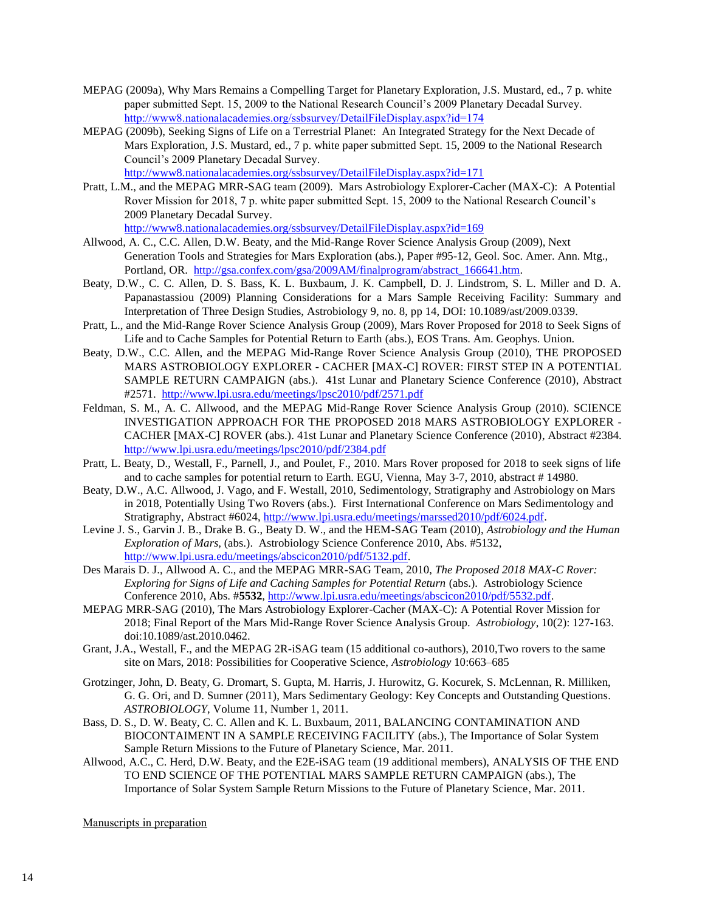- MEPAG (2009a), Why Mars Remains a Compelling Target for Planetary Exploration, J.S. Mustard, ed., 7 p. white paper submitted Sept. 15, 2009 to the National Research Council's 2009 Planetary Decadal Survey. <http://www8.nationalacademies.org/ssbsurvey/DetailFileDisplay.aspx?id=174>
- MEPAG (2009b), Seeking Signs of Life on a Terrestrial Planet: An Integrated Strategy for the Next Decade of Mars Exploration, J.S. Mustard, ed., 7 p. white paper submitted Sept. 15, 2009 to the National Research Council's 2009 Planetary Decadal Survey.

<http://www8.nationalacademies.org/ssbsurvey/DetailFileDisplay.aspx?id=171>

Pratt, L.M., and the MEPAG MRR-SAG team (2009). Mars Astrobiology Explorer-Cacher (MAX-C): A Potential Rover Mission for 2018, 7 p. white paper submitted Sept. 15, 2009 to the National Research Council's 2009 Planetary Decadal Survey.

<http://www8.nationalacademies.org/ssbsurvey/DetailFileDisplay.aspx?id=169>

- Allwood, A. C., C.C. Allen, D.W. Beaty, and the Mid-Range Rover Science Analysis Group (2009), Next Generation Tools and Strategies for Mars Exploration (abs.), Paper #95-12, Geol. Soc. Amer. Ann. Mtg., Portland, OR. [http://gsa.confex.com/gsa/2009AM/finalprogram/abstract\\_166641.htm.](http://gsa.confex.com/gsa/2009AM/finalprogram/abstract_166641.htm)
- Beaty, D.W., C. C. Allen, D. S. Bass, K. L. Buxbaum, J. K. Campbell, D. J. Lindstrom, S. L. Miller and D. A. Papanastassiou (2009) Planning Considerations for a Mars Sample Receiving Facility: Summary and Interpretation of Three Design Studies, Astrobiology 9, no. 8, pp 14, DOI: 10.1089/ast/2009.0339.
- Pratt, L., and the Mid-Range Rover Science Analysis Group (2009), Mars Rover Proposed for 2018 to Seek Signs of Life and to Cache Samples for Potential Return to Earth (abs.), EOS Trans. Am. Geophys. Union.
- Beaty, D.W., C.C. Allen, and the MEPAG Mid-Range Rover Science Analysis Group (2010), THE PROPOSED MARS ASTROBIOLOGY EXPLORER - CACHER [MAX-C] ROVER: FIRST STEP IN A POTENTIAL SAMPLE RETURN CAMPAIGN (abs.). 41st Lunar and Planetary Science Conference (2010), Abstract #2571.<http://www.lpi.usra.edu/meetings/lpsc2010/pdf/2571.pdf>
- Feldman, S. M., A. C. Allwood, and the MEPAG Mid-Range Rover Science Analysis Group (2010). SCIENCE INVESTIGATION APPROACH FOR THE PROPOSED 2018 MARS ASTROBIOLOGY EXPLORER - CACHER [MAX-C] ROVER (abs.). 41st Lunar and Planetary Science Conference (2010), Abstract #2384. <http://www.lpi.usra.edu/meetings/lpsc2010/pdf/2384.pdf>
- Pratt, L. Beaty, D., Westall, F., Parnell, J., and Poulet, F., 2010. Mars Rover proposed for 2018 to seek signs of life and to cache samples for potential return to Earth. EGU, Vienna, May 3-7, 2010, abstract # 14980.
- Beaty, D.W., A.C. Allwood, J. Vago, and F. Westall, 2010, Sedimentology, Stratigraphy and Astrobiology on Mars in 2018, Potentially Using Two Rovers (abs.). First International Conference on Mars Sedimentology and Stratigraphy, Abstract #6024, [http://www.lpi.usra.edu/meetings/marssed2010/pdf/6024.pdf.](http://www.lpi.usra.edu/meetings/marssed2010/pdf/6024.pdf)
- Levine J. S., Garvin J. B., Drake B. G., Beaty D. W., and the HEM-SAG Team (2010), *Astrobiology and the Human Exploration of Mars,* (abs.). Astrobiology Science Conference 2010, Abs. #5132, [http://www.lpi.usra.edu/meetings/abscicon2010/pdf/5132.pdf.](http://www.lpi.usra.edu/meetings/abscicon2010/pdf/5132.pdf)
- Des Marais D. J., Allwood A. C., and the MEPAG MRR-SAG Team, 2010, *The Proposed 2018 MAX-C Rover: Exploring for Signs of Life and Caching Samples for Potential Return (abs.).* Astrobiology Science Conference 2010, Abs. #**5532**[, http://www.lpi.usra.edu/meetings/abscicon2010/pdf/5532.pdf.](http://www.lpi.usra.edu/meetings/abscicon2010/pdf/5532.pdf)
- MEPAG MRR-SAG (2010), The Mars Astrobiology Explorer-Cacher (MAX-C): A Potential Rover Mission for 2018; Final Report of the Mars Mid-Range Rover Science Analysis Group. *Astrobiology*, 10(2): 127-163. doi:10.1089/ast.2010.0462.
- Grant, J.A., Westall, F., and the MEPAG 2R-iSAG team (15 additional co-authors), 2010,Two rovers to the same site on Mars, 2018: Possibilities for Cooperative Science, *Astrobiology* 10:663–685
- Grotzinger, John, D. Beaty, G. Dromart, S. Gupta, M. Harris, J. Hurowitz, G. Kocurek, S. McLennan, R. Milliken, G. G. Ori, and D. Sumner (2011), Mars Sedimentary Geology: Key Concepts and Outstanding Questions. *ASTROBIOLOGY*, Volume 11, Number 1, 2011.
- Bass, D. S., D. W. Beaty, C. C. Allen and K. L. Buxbaum, 2011, BALANCING CONTAMINATION AND BIOCONTAIMENT IN A SAMPLE RECEIVING FACILITY (abs.), The Importance of Solar System Sample Return Missions to the Future of Planetary Science, Mar. 2011.
- Allwood, A.C., C. Herd, D.W. Beaty, and the E2E-iSAG team (19 additional members), ANALYSIS OF THE END TO END SCIENCE OF THE POTENTIAL MARS SAMPLE RETURN CAMPAIGN (abs.), The Importance of Solar System Sample Return Missions to the Future of Planetary Science, Mar. 2011.

Manuscripts in preparation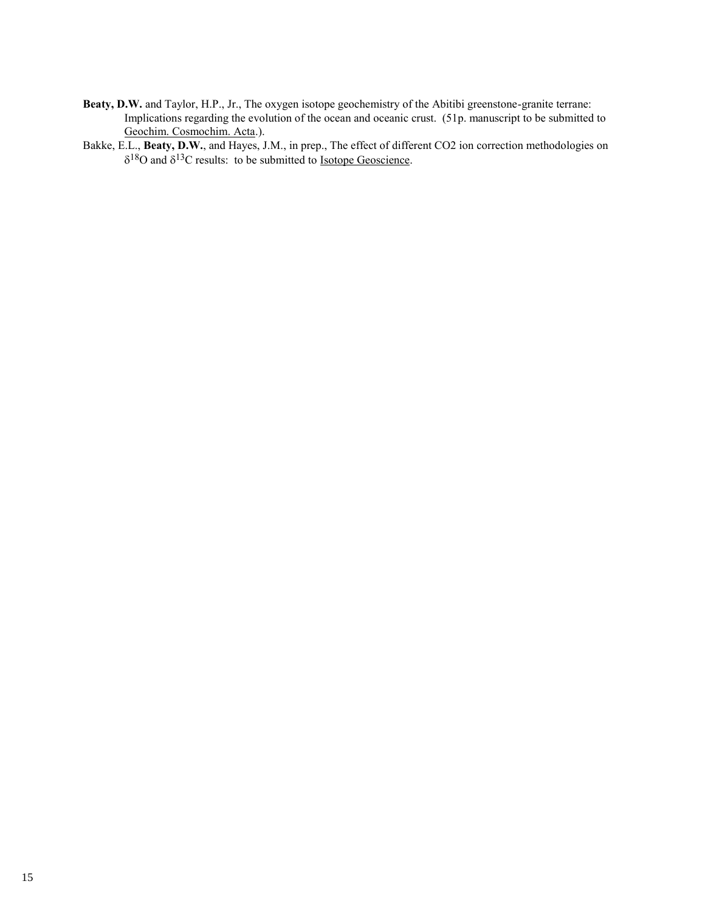**Beaty, D.W.** and Taylor, H.P., Jr., The oxygen isotope geochemistry of the Abitibi greenstone-granite terrane: Implications regarding the evolution of the ocean and oceanic crust. (51p. manuscript to be submitted to Geochim. Cosmochim. Acta.).

Bakke, E.L., **Beaty, D.W.**, and Hayes, J.M., in prep., The effect of different CO2 ion correction methodologies on  $\delta^{18}$ O and  $\delta^{13}$ C results: to be submitted to <u>Isotope Geoscience</u>.